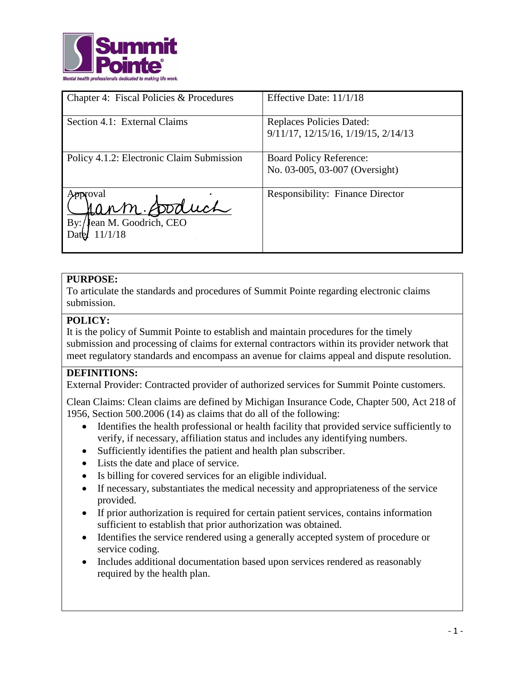

| Chapter 4: Fiscal Policies & Procedures                         | Effective Date: 11/1/18                                          |
|-----------------------------------------------------------------|------------------------------------------------------------------|
| Section 4.1: External Claims                                    | Replaces Policies Dated:<br>9/11/17, 12/15/16, 1/19/15, 2/14/13  |
| Policy 4.1.2: Electronic Claim Submission                       | <b>Board Policy Reference:</b><br>No. 03-005, 03-007 (Oversight) |
| proval<br>Jann Soduch<br>ean M. Goodrich, CEO<br>By:<br>11/1/18 | <b>Responsibility: Finance Director</b>                          |

# **PURPOSE:**

To articulate the standards and procedures of Summit Pointe regarding electronic claims submission.

## **POLICY:**

It is the policy of Summit Pointe to establish and maintain procedures for the timely submission and processing of claims for external contractors within its provider network that meet regulatory standards and encompass an avenue for claims appeal and dispute resolution.

## **DEFINITIONS:**

External Provider: Contracted provider of authorized services for Summit Pointe customers.

Clean Claims: Clean claims are defined by Michigan Insurance Code, Chapter 500, Act 218 of 1956, Section 500.2006 (14) as claims that do all of the following:

- Identifies the health professional or health facility that provided service sufficiently to verify, if necessary, affiliation status and includes any identifying numbers.
- Sufficiently identifies the patient and health plan subscriber.
- Lists the date and place of service.
- Is billing for covered services for an eligible individual.
- If necessary, substantiates the medical necessity and appropriateness of the service provided.
- If prior authorization is required for certain patient services, contains information sufficient to establish that prior authorization was obtained.
- Identifies the service rendered using a generally accepted system of procedure or service coding.
- Includes additional documentation based upon services rendered as reasonably required by the health plan.